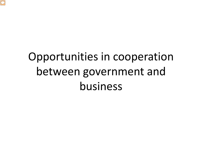

# Opportunities in cooperation between government and business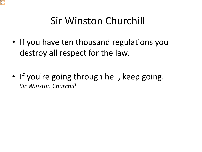

#### Sir Winston Churchill

- If you have ten thousand regulations you destroy all respect for the law.
- If you're going through hell, keep going. *Sir Winston Churchill*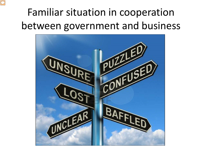### Familiar situation in cooperation between government and business

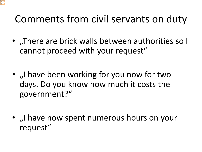#### Comments from civil servants on duty

- "There are brick walls between authorities so I cannot proceed with your request"
- I have been working for you now for two days. Do you know how much it costs the government?"
- I have now spent numerous hours on your request"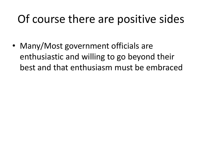## Of course there are positive sides

• Many/Most government officials are enthusiastic and willing to go beyond their best and that enthusiasm must be embraced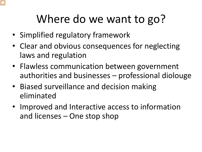## Where do we want to go?

- Simplified regulatory framework
- Clear and obvious consequences for neglecting laws and regulation
- Flawless communication between government authorities and businesses – professional diolouge
- Biased surveillance and decision making eliminated
- Improved and Interactive access to information and licenses – One stop shop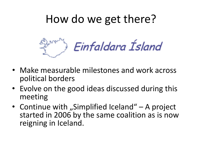### How do we get there?



- Make measurable milestones and work across political borders
- Evolve on the good ideas discussed during this meeting
- Continue with "Simplified Iceland"  $-$  A project started in 2006 by the same coalition as is now reigning in Iceland.